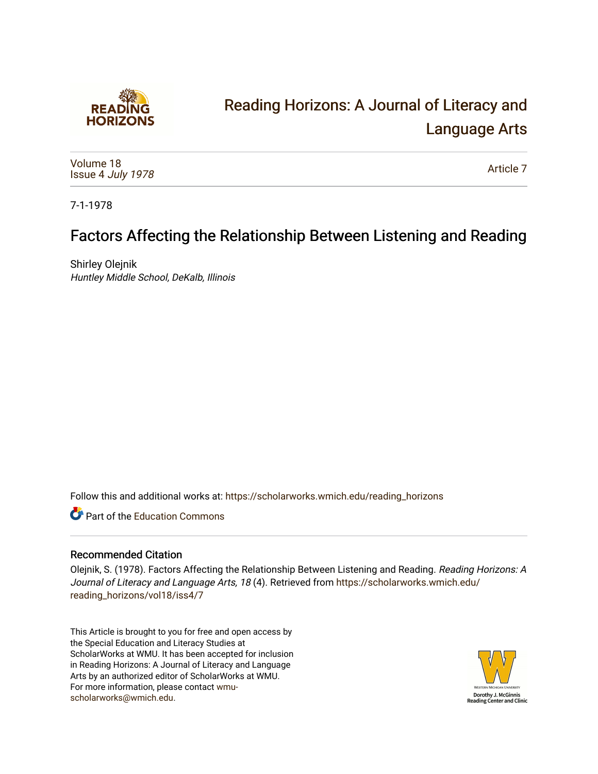

# [Reading Horizons: A Journal of Literacy and](https://scholarworks.wmich.edu/reading_horizons)  [Language Arts](https://scholarworks.wmich.edu/reading_horizons)

[Volume 18](https://scholarworks.wmich.edu/reading_horizons/vol18) Issue 4 [July 1978](https://scholarworks.wmich.edu/reading_horizons/vol18/iss4)

[Article 7](https://scholarworks.wmich.edu/reading_horizons/vol18/iss4/7) 

7-1-1978

# Factors Affecting the Relationship Between Listening and Reading

Shirley Olejnik Huntley Middle School, DeKalb, Illinois

Follow this and additional works at: [https://scholarworks.wmich.edu/reading\\_horizons](https://scholarworks.wmich.edu/reading_horizons?utm_source=scholarworks.wmich.edu%2Freading_horizons%2Fvol18%2Fiss4%2F7&utm_medium=PDF&utm_campaign=PDFCoverPages)

**C** Part of the [Education Commons](http://network.bepress.com/hgg/discipline/784?utm_source=scholarworks.wmich.edu%2Freading_horizons%2Fvol18%2Fiss4%2F7&utm_medium=PDF&utm_campaign=PDFCoverPages)

### Recommended Citation

Olejnik, S. (1978). Factors Affecting the Relationship Between Listening and Reading. Reading Horizons: A Journal of Literacy and Language Arts, 18 (4). Retrieved from [https://scholarworks.wmich.edu/](https://scholarworks.wmich.edu/reading_horizons/vol18/iss4/7?utm_source=scholarworks.wmich.edu%2Freading_horizons%2Fvol18%2Fiss4%2F7&utm_medium=PDF&utm_campaign=PDFCoverPages) [reading\\_horizons/vol18/iss4/7](https://scholarworks.wmich.edu/reading_horizons/vol18/iss4/7?utm_source=scholarworks.wmich.edu%2Freading_horizons%2Fvol18%2Fiss4%2F7&utm_medium=PDF&utm_campaign=PDFCoverPages)

This Article is brought to you for free and open access by the Special Education and Literacy Studies at ScholarWorks at WMU. It has been accepted for inclusion in Reading Horizons: A Journal of Literacy and Language Arts by an authorized editor of ScholarWorks at WMU. For more information, please contact [wmu](mailto:wmu-scholarworks@wmich.edu)[scholarworks@wmich.edu.](mailto:wmu-scholarworks@wmich.edu)

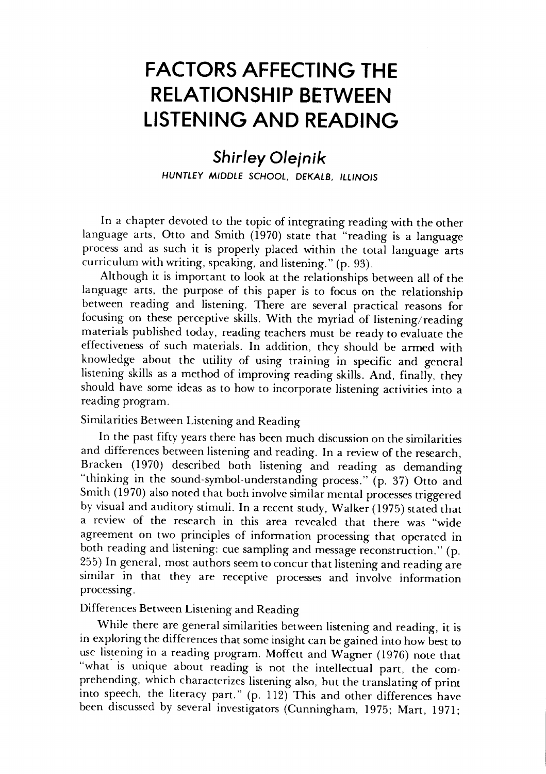## *FACTORS AFFECTING THE* **FACTORS AFFECTING THE**  *RELATIONSHIP BETWEEN* **RELATIONSHIP BETWEEN LISTENING AND READING**

### *Shirley Olejnik* **Shirley Olejnik**  *HUNTLEY MIDDLE SCHOOL, DEKALB, ILLINOIS* HUNTLEY MIDDLE SCHOOL, DEKALB, ILLINOIS

In a chapter devoted to the topic of integrating reading with the other In a chapter devoted to the topic of integrating reading with the other language arts, Otto and Smith (1970) state that "reading is a language language arts, Otto and Smith (1970) state that "reading is a language process and as such it is properly placed within the total language arts process and as such it is properly placed within the total language arts curriculum withwriting, speaking, and listening." (p. 93). curriculum with writing, speaking, and listening." (p. 93).

Although it is important to look at the relationships between all of the Although it is important to look at the relationships between all of the language arts, the purpose of this paper is to focus on the relationship language arts, the purpose of this paper is to focus on the relationship between reading and listening. There are several practical reasons for between reading and listening. There are several practical reasons for focusing on these perceptive skills. With the myriad of listening/reading focusing on these perceptive skills. With the myriad of listening/reading materials published today, reading teachers must be ready to evaluate the effectiveness of such materials. In addition, they should be armed with effectiveness of such materials. In addition, they should be armed with knowledge about the utility of using training in specific and general knowledge about the utility of using training in specific and general listening skills as a method of improving reading skills. And, finally, they listening skills as a method of improving reading skills. And, finally, they should have some ideas as to how to incorporate listening activities into a should have some ideas as to how to incorporate listening activities into a reading program. reading program.

#### Similarities Between Listening and Reading Similarities Between Listening and Reading

In the past fifty years there has been much discussion on the similarities and differences between listening and reading. In a review of the research, and differences between listening and reading. In a review of the research, Bracken (1970) described both listening and reading as demanding Bracken (1970) described both listening and reading as demanding "thinking in the sound-symbol-understanding process." (p. 37) Otto and "thinking in the sound-symbol-understanding process." (p. 37) Otto and Smith (1970) also noted that both involve similar mental processes triggered by visual and auditory stimuli. In a recent study, Walker (1975) stated that a review of the research in this area revealed that there was "wide a review of the research in this area revealed that there was "wide agreement on two principles of information processing that operated in agreement on two principles of information processing that operated in both reading and listening: cue sampling and message reconstruction." (p. both reading and listening: cue sampling and message reconstruction." (p.  $255$ ) In general, most authors seem to concur that listening and reading are similar in that they are receptive processes and involve information similar in that they are receptive processes and involve information processing.

#### Differences Between Listening and Reading Differences Between Listening and Reading

While there are general similarities between listening and reading, it is While there are general similarities between listening and reading, it is in exploring the differences that some insight can be gained into how best to use listening in a reading program. Moffett and Wagner (1976) note that use listening in a reading program. Moffett and Wagner (1976) note that "what is unique about reading is not the intellectual part, the com "what' is unique about reading is not the intellectual part, the comprehending, which characterizes listening also, but the translating of print into speech, the literacy part." (p. 112) This and other differences have into speech, the literacy part." (p. 112) This and other differences have been discussed by several investigators (Cunningham, 1975; Mart, 1971; been discussed by several investigators (Cunningham, 1975; Mart, 1971;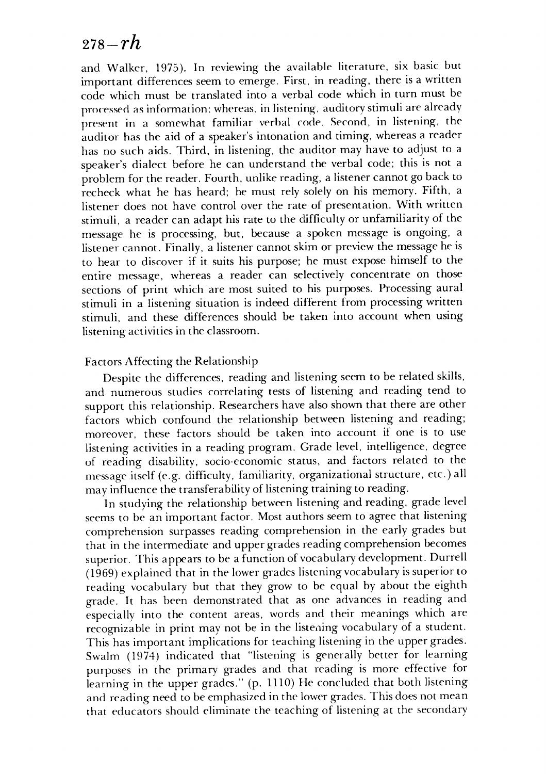### **278-rh** *278-rh*

and Walker, 1975). In reviewing the available literature, six basic but and Walker, 1975). In reviewing the available literature, six basic but important differences seem to emerge. First, in reading, there is a written important differences seem to emerge. First, in reading, there is a written code which must be translated into a verbal code which in turn must be code which must be translated into a verbal code which in turn must be processed as information: whereas, in listening, auditory stimuli are already present in a somewhat familiar verbal code. Second, in listening, the auditor has the aid of a speaker's intonation and timing, whereas a reader auditor has the aid of a speaker's intonation and timing, whereas a reader has no such aids. Third, in listening, the auditor may have to adjust to a has no such aids. Third, in listening, the auditor may have to adjust to a speaker's dialect before he can understand the verbal code; this is not a speaker'S dialect before he can understand the verbal code; this is not a  $\overline{\mathbf{r}}$ problem for the reader. Fourth, unlike reading, a listener cannot go back to recheck what he has heard; he must rely solely on his memory. Fifth, a recheck what he has heard; he must rely solely on his memory. Fifth, a listener does not have control over the rate of presentation. With written listener does not have control over the rate of presentation. With written stimuli, a reader can adapt his rate to the difficulty or unfamiliarity of the stimuli, a reader can adapt his rate to the difficulty or unfamiliarity of the message he is processing, but, because a spoken message is ongoing, a message he is processing, but, because a spoken message is ongoing, a listener cannot. Finally, a listenercannot skim or preview the message he is listener cannot. Finally, a listener cannot skim or preview the message he is to hear to discover if it suits his purpose; he must expose himself to the to hear to discover if it suits his purpose; he must expose himself to the entire message, whereas a reader can selectively concentrate on those entire message, whereas a reader can selectively concentrate on those sections of print which are most suited to his purposes. Processing aural sections of print which are most suited to his purposes. Processing aural stimuli in a listening situation is indeed different from processing written stimuli in a listening situation is indeed different from processing written stimuli, and these differences should be taken into account when using stimuli, and these differences should be taken into account when using listening activities in the classroom.

#### Factors Affecting the Relationship Factors Affecting the Relationship

Despite the differences, reading and listening seem to be related skills, and numerous studies correlating tests of listening and reading tend to and numerous studies correlating tests of listening and reading tend to support this relationship. Researchers have also shown that there are other factors which confound the relationship between listening and reading; factors which confound the relationship between listening and reading; moreover, these factors should be taken into account if one is to use moreover, these factors should be taken into account if one is to use listening activities in a reading program. Grade level, intelligence, degree listening activities in a reading program. Grade level, intelligence, degree of reading disability, socio-economic status, and factors related to the of reading disability, socio-economic status, and factors related to the message itself (e.g. difficulty, familiarity, organizational structure, etc.) all message itself (e.g. difficulty, familiarity, organizational structure, etc.) all may influence the transferability of listening training to reading.

In studying the relationship between listening and reading, grade level In studying the relationship between listening and reading, grade level seems to be an important factor. Most authors seem to agree that listening comprehension surpasses reading comprehension in the early grades but comprehension surpasses reading comprehension in the early grades but that in the intermediate and upper grades reading comprehension becomes that in the intermediate and upper grades reading comprehension becomes superior. This appears to be a function of vocabulary development. Durrell (1969) explained that in the lower grades listening vocabulary issuperior to (1969) explained that in the lower grades listening vocabulary is superior to reading vocabulary but that they grow to be equal by about the eighth reading vocabulary but that they grow to be equal by about the eighth grade. It has been demonstrated that as one advances in reading and grade. It has been demonstrated that as one advances in reading and especially into the content areas, words and their meanings which are especially into the content areas, words and their meanings which are recognizable in print may not be in the listening vocabulary of a student. recognizable in print may not be in the listening vocabulary of a student. This has important implications for teaching listening in the upper grades. Swalm (1974) indicated that "listening is generally better for learning SwaIm (1974) indicated that "listening is generally better for learning purposes in the primary grades and that reading is more effective for purposes in the primary grades and that reading is more effective for learning in the upper grades." (p. 1110) He concluded that both listening learning in the upper grades." (p. 1110) He concluded that both listening and reading need to be emphasized in the lowergrades. This does not mean and reading need to be emphasized in the lower grades. This does not mean that educators should eliminate the teaching of listening at the secondary that educators should eliminate the teaching of listening at the secondary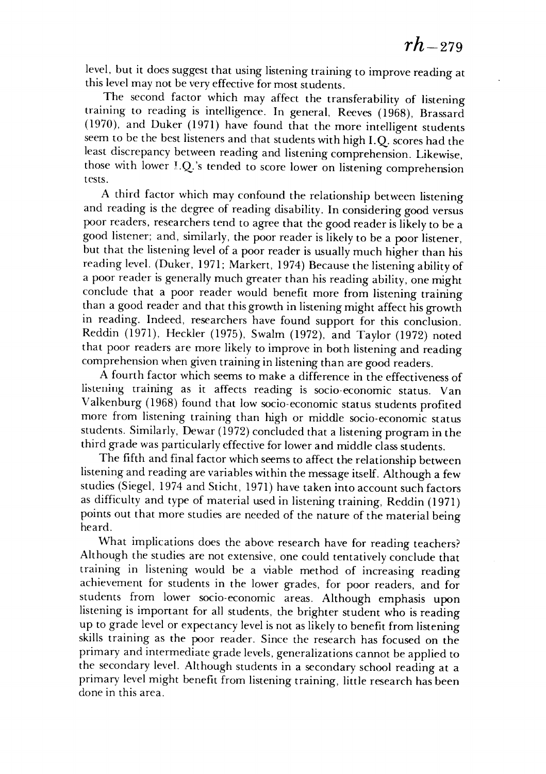level, but it does suggest that using listening training to improve reading at level, but it does suggest that using listening training to improve reading at this level may not be very effective for most students. this level may not be very effective for most students.

The second factor which may affect the transferability of listening The second factor which may affect the transferability of listening training to reading is intelligence. In general, Reeves (1968), Brassard training to reading is intelligence. In general, Reeves (1968), Brassard (1970), and Duker (1971) have found that the more intelligent students (1970), and Duker (1971) have found that the more intelligent students seem to be the best listeners and that students with high I.Q. scores had the least discrepancy between reading and listening comprehension. Likewise, least discrepancy between reading and listening comprehension. Likewise, those with lower I.Q.'s tended to score lower on listening comprehension tests. tests.

A third factor which may confound the relationship between listening A third factor which may confound the relationship between listening and reading is the degree of reading disability. In considering good versus and reading is the degree of reading disability. In considering good versus poor readers, researchers tend to agree that the good reader is likely to be a good listener; and, similarly, the poor reader is likely to be a poor listener, good listener; and, similarly, the poor reader is likely to be a poor listener, but that the listening level of a poor reader is usually muchhigher than his but that the listening level of a poor reader is usually much higher than his reading level. (Duker, 1971; Markert, 1974) Because the listening ability of reading level. (Duker, 1971; Markert, 1974) Because the listening ability of a poor reader is generally much greater than his reading ability, one might a poor reader is generally much greater than his reading ability, one might conclude that a poor reader would benefit more from listening training conclude that a poor reader would benefit more from listening training than a good reader and that this growth in listening might affect his growth in reading. Indeed, researchers have found support for this conclusion. in reading. Indeed, researchers have found support for this conclusion. Reddin (1971), Heckler (1975), Swalm (1972), and Taylor (1972) noted Reddin (1971), Heckler (1975), SwaIm (1972), and Taylor (1972) noted that poor readers are more likely to improve in both listening and reading comprehension when given training in listening than are good readers.

A fourth factor which seems to make a difference in the effectiveness of A fourth factor which seems to make a difference in the effectiveness of listening training as it affects reading is socio-economic status. Van listening training as it affects reading is socio-economic status. Van Valkenburg (1968) found that low socio-economic status students profited Valkenburg (1968) found that low socio-economic status students profited more from listening training than high or middle socio-economic status more from listening training than high or middle socio-economic status students. Similarly, Dewar (1972) concluded that a listening program in the students. Similarly, Dewar (1972) concluded that a listening program in the third grade was particularly effective for lower and middle class students.

The fifth and final factor which seems to affect the relationship between listening and reading are variables within the message itself. Although a few studies (Siegel, 1974 and Sticht, 1971) have taken into account such factors as difficulty and type of material used in listening training, Reddin (1971) as difficulty and type of material used in listening training, Reddin (1971) points out that more studies are needed of the nature of the material being heard. heard.

What implications does the above research have for reading teachers? What implications does the above research have for reading teachers? Although the studies are not extensive, one could tentatively conclude that Although the studies are not extensive, one could tentatively conclude that training in listening would be a viable method of increasing reading training in listening would be a viable method of increasing reading achievement for students in the lower grades, for poor readers, and for achievement for students in the lower grades, for poor readers, and for students from lower socio-economic areas. Although emphasis upon students from lower socio-economic areas. Although emphasis upon listening is important for all students, the brighter student who is reading up to grade level or expectancy level is not as likely to benefit from listening skills training as the poor reader. Since the research has focused on the skills training as the poor reader. Since the research has focused on the primary and intermediate grade levels, generalizations cannot be applied to the secondary level. Although students in a secondary school reading at a the secondary level. Although students in a secondary school reading at a primary level might benefit from listening training, little research has been done in this area. done in this area.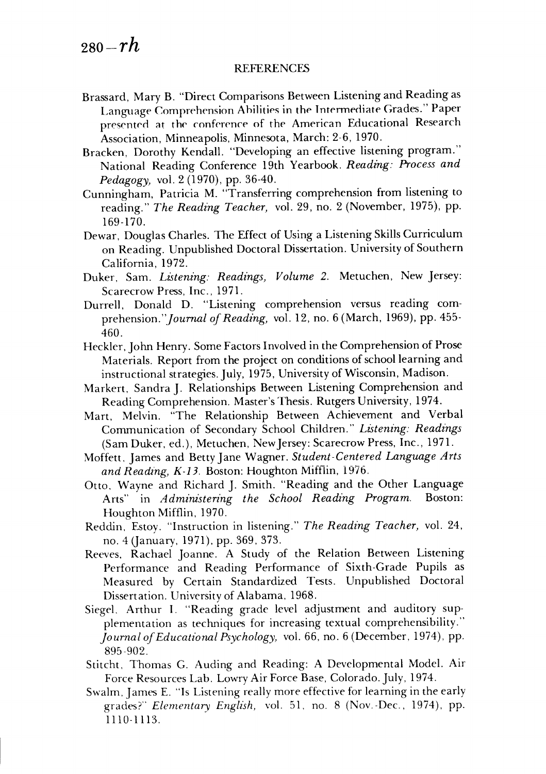#### REFERENCES REFERENCES

- Brassard, Mary B. "Direct Comparisons Between Listening and Reading as Language Comprehension Abilities in the Intermediate Grades." Paper presented at the conference of the American Educational Research Association, Minneapolis, Minnesota, March: 2-6, 1970. Association, Minneapolis, Minnesota, March: 2-6,1970.
- Bracken, Dorothy Kendall. "Developing an effective listening program." Bracken, Dorothy Kendall. "Developing an effective listening program." National Reading Conference 19th Yearbook. **Reading: Process and** National Reading Conference 19th Yearbook. *Reading: Process and*  **Pedagogy,** vol. 2 (1970), pp. 36-40. *Pedagogy)* vol. 2 (1970), pp. 36-40.
- Cunningham, Patricia M. "Transferring comprehension from listening to Cunningham, Patricia M. "Transferring comprehension from listening to reading." **The Reading Teacher,** vol. 29, no. 2 (November, 1975), pp. reading." *The Reading Teacher)* vol. 29, no. 2 (November, 1975), pp. 169-170. 169-170.
- Dewar, Douglas Charles. The Effect of Using a Listening Skills Curriculum Dewar, Douglas Charles. The Effect of Using a Listening Skills Curriculum on Reading. Unpublished Doctoral Dissertation. University of Southern California, 1972. California, 1972.
- Duker, Sam. **Listening: Readings, Volume 2.** Metuchen, New Jersey: Duker, Sam. *Listening: Readings) Volume* 2. Metuchen, New Jersey: Scarecrow Press, Inc., 1971. Scarecrow Press, Inc., 1971.
- Durrell, Donald D. "Listening comprehension versus reading com Durrell, Donald D. "Listening comprehension versus reading comprehension.**"Journal of Reading,** vol. 12, no. 6 (March, 1969), pp. 455- *prehension."Journal of Reading)* vol. 12, no. 6 (March, 1969), pp. 460. 460.
- Heckler, John Henry. Some Factors Involved in the Comprehension of Prose Materials. Report from the project on conditions of school learning and instructional strategies. July, 1975, University ofWisconsin, Madison. instructional strategies. July, 1975, University of Wisconsin, Madison.
- Markert, Sandra J. Relationships Between Listening Comprehension and Markert, Sandra J. Relationships Between Listening Comprehension and Reading Comprehension. Master's Thesis. RutgersUniversity, 1974. Reading Comprehension. Master's Thesis. Rutgers University, 1974.
- Mart, Melvin. "The Relationship Between Achievement and Verbal Mart, Melvin. "The Relationship Between Achievement and Verbal Communication of Secondary School Children." **Listening: Readings** Communication of Secondary School Children." *Listening: Readings*  (Sam Duker, ed.), Metuchen, NewJersey: Scarecrow Press, Inc., 1971. (Sam Duker, ed.), Metuchen, New Jersey: Scarecrow Press, Inc., 1971.
- Moffett, James and BettyJane Wagner. **Student-Centered Language Arts** Moffett, James and Betty Jane Wagner. *Student-Centered Language Arts*  **and Reading, K-13.** Boston: Houghton Mifflin, 1976. *and Reading) K-13.* Boston: Houghton Miftlin, 1976.
- Otto, Wayne and Richard J. Smith. "Reading and the Other Language Otto, Wayne and Richard J. Smith. "Reading and the Other Language Arts" in **Administering the School Reading Program.** Boston: Arts" in *Administering the School Reading Program.* Boston: Houghton Mifflin, 1970. Houghton Mifflin, 1970.
- Reddin, Estoy. "Instruction in listening." *The Reading Teacher,* vol. 24, no. 4 (January, 1971), pp. 369, 373. no. 4 (January, 1971), pp. 369, 373.
- Reeves, Rachael Joanne. A Study of the Relation Between Listening Reeves, Rachael Joanne. A Study of the Relation Between Listening Performance and Reading Performance of Sixth-Grade Pupils as Performance and Reading Performance of Sixth-Grade Pupils as Measured by Certain Standardized Tests. Unpublished Doctoral Measured by Certain Standardized Tests. Unpublished Doctoral Dissertation. University of Alabama, 1968. Dissertation. University of Alabama, 1968.
- Siegel, Arthur I. "Reading grade level adjustment and auditory sup Siegel. Arthur I. "Reading grade level adjustment and auditory supplementation as techniques for increasing textual comprehensibility." plementation as techniques for increasing textual comprehensibility." **Journal ofEducational Psychology,** vol. 66, no. 6 (December, 1974), pp. *Journal of Educational Psychology,* vol. 66, no. 6 (December, 1974), pp. 895-902. 895-902.
- Stitcht, Thomas G. Auding and Reading: A Developmental Model. Air Stitcht, Thomas G. Auding and Reading: A Developmental Model. Air Force Resources Lab. Lowry Air Force Base, Colorado. July, 1974.
- Swalm,James E. "Is Listening really more effective for learning in the early Force Resources Lab. Lowry Air Force Base, Colorado. July, 1974. Swaim, James E. "Is Listening really more effective for learning in the early grades?" **Elementary English,** vol. 51, no. 8 (Nov.-Dec, 1974), pp. grades?" *Elementary English,* vol. 51, no. 8 (Nov.-Dec., 1974), pp. 1110-1113. 1110-1113.